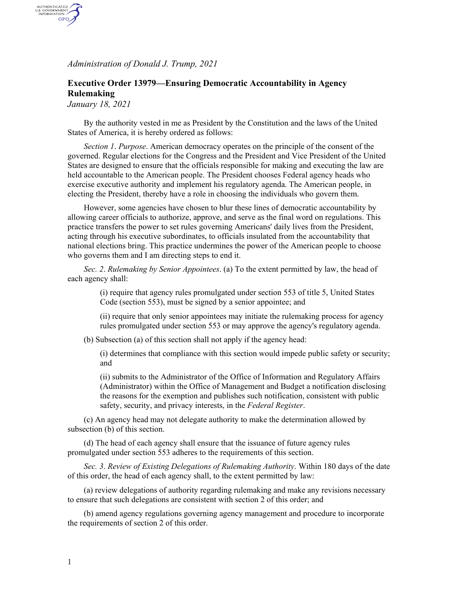*Administration of Donald J. Trump, 2021*

## **Executive Order 13979—Ensuring Democratic Accountability in Agency Rulemaking**

*January 18, 2021*

AUTHENTICATED<br>U.S. GOVERNMENT<br>INFORMATION GPO

> By the authority vested in me as President by the Constitution and the laws of the United States of America, it is hereby ordered as follows:

*Section 1*. *Purpose*. American democracy operates on the principle of the consent of the governed. Regular elections for the Congress and the President and Vice President of the United States are designed to ensure that the officials responsible for making and executing the law are held accountable to the American people. The President chooses Federal agency heads who exercise executive authority and implement his regulatory agenda. The American people, in electing the President, thereby have a role in choosing the individuals who govern them.

However, some agencies have chosen to blur these lines of democratic accountability by allowing career officials to authorize, approve, and serve as the final word on regulations. This practice transfers the power to set rules governing Americans' daily lives from the President, acting through his executive subordinates, to officials insulated from the accountability that national elections bring. This practice undermines the power of the American people to choose who governs them and I am directing steps to end it.

*Sec. 2*. *Rulemaking by Senior Appointees*. (a) To the extent permitted by law, the head of each agency shall:

> (i) require that agency rules promulgated under section 553 of title 5, United States Code (section 553), must be signed by a senior appointee; and

(ii) require that only senior appointees may initiate the rulemaking process for agency rules promulgated under section 553 or may approve the agency's regulatory agenda.

(b) Subsection (a) of this section shall not apply if the agency head:

(i) determines that compliance with this section would impede public safety or security; and

(ii) submits to the Administrator of the Office of Information and Regulatory Affairs (Administrator) within the Office of Management and Budget a notification disclosing the reasons for the exemption and publishes such notification, consistent with public safety, security, and privacy interests, in the *Federal Register*.

(c) An agency head may not delegate authority to make the determination allowed by subsection (b) of this section.

(d) The head of each agency shall ensure that the issuance of future agency rules promulgated under section 553 adheres to the requirements of this section.

*Sec. 3*. *Review of Existing Delegations of Rulemaking Authority*. Within 180 days of the date of this order, the head of each agency shall, to the extent permitted by law:

(a) review delegations of authority regarding rulemaking and make any revisions necessary to ensure that such delegations are consistent with section 2 of this order; and

(b) amend agency regulations governing agency management and procedure to incorporate the requirements of section 2 of this order.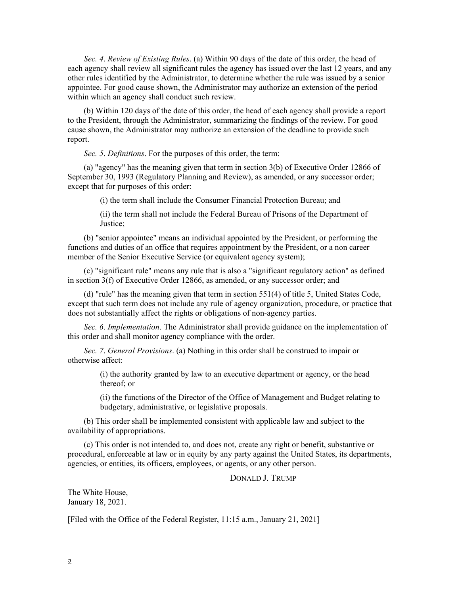*Sec. 4*. *Review of Existing Rules*. (a) Within 90 days of the date of this order, the head of each agency shall review all significant rules the agency has issued over the last 12 years, and any other rules identified by the Administrator, to determine whether the rule was issued by a senior appointee. For good cause shown, the Administrator may authorize an extension of the period within which an agency shall conduct such review.

(b) Within 120 days of the date of this order, the head of each agency shall provide a report to the President, through the Administrator, summarizing the findings of the review. For good cause shown, the Administrator may authorize an extension of the deadline to provide such report.

*Sec. 5*. *Definitions*. For the purposes of this order, the term:

(a) "agency" has the meaning given that term in section 3(b) of Executive Order 12866 of September 30, 1993 (Regulatory Planning and Review), as amended, or any successor order; except that for purposes of this order:

(i) the term shall include the Consumer Financial Protection Bureau; and

(ii) the term shall not include the Federal Bureau of Prisons of the Department of Justice;

(b) "senior appointee" means an individual appointed by the President, or performing the functions and duties of an office that requires appointment by the President, or a non career member of the Senior Executive Service (or equivalent agency system);

(c) "significant rule" means any rule that is also a "significant regulatory action" as defined in section 3(f) of Executive Order 12866, as amended, or any successor order; and

(d) "rule" has the meaning given that term in section 551(4) of title 5, United States Code, except that such term does not include any rule of agency organization, procedure, or practice that does not substantially affect the rights or obligations of non-agency parties.

*Sec. 6*. *Implementation*. The Administrator shall provide guidance on the implementation of this order and shall monitor agency compliance with the order.

*Sec. 7*. *General Provisions*. (a) Nothing in this order shall be construed to impair or otherwise affect:

> (i) the authority granted by law to an executive department or agency, or the head thereof; or

(ii) the functions of the Director of the Office of Management and Budget relating to budgetary, administrative, or legislative proposals.

(b) This order shall be implemented consistent with applicable law and subject to the availability of appropriations.

(c) This order is not intended to, and does not, create any right or benefit, substantive or procedural, enforceable at law or in equity by any party against the United States, its departments, agencies, or entities, its officers, employees, or agents, or any other person.

## DONALD J. TRUMP

The White House, January 18, 2021.

[Filed with the Office of the Federal Register, 11:15 a.m., January 21, 2021]